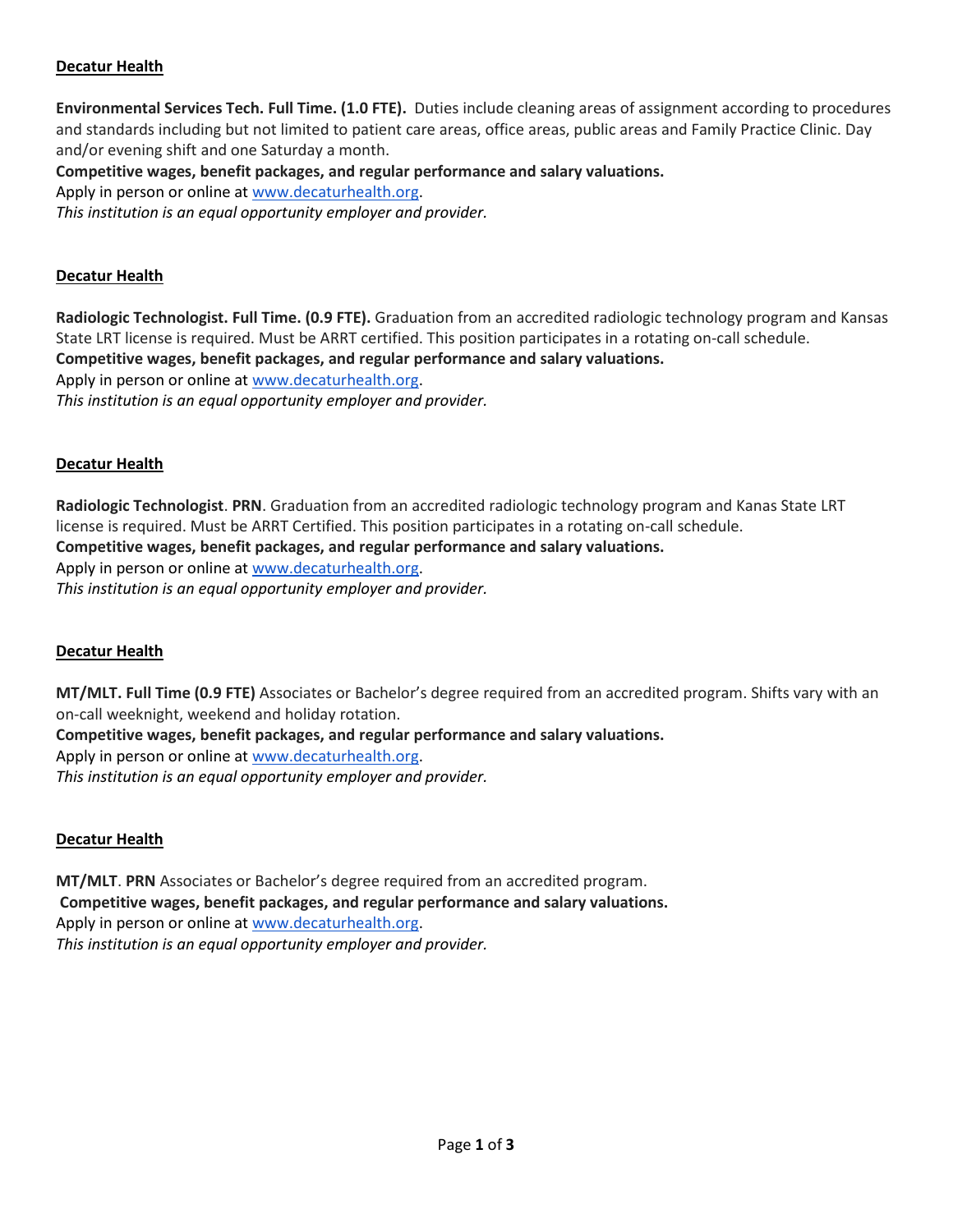# **Decatur Health**

**Environmental Services Tech. Full Time. (1.0 FTE).** Duties include cleaning areas of assignment according to procedures and standards including but not limited to patient care areas, office areas, public areas and Family Practice Clinic. Day and/or evening shift and one Saturday a month.

**Competitive wages, benefit packages, and regular performance and salary valuations.** 

Apply in person or online at [www.decaturhealth.org.](http://www.decaturhealth.org/)

*This institution is an equal opportunity employer and provider.*

## **Decatur Health**

**Radiologic Technologist. Full Time. (0.9 FTE).** Graduation from an accredited radiologic technology program and Kansas State LRT license is required. Must be ARRT certified. This position participates in a rotating on-call schedule. **Competitive wages, benefit packages, and regular performance and salary valuations.**  Apply in person or online at [www.decaturhealth.org.](http://www.decaturhealth.org/) *This institution is an equal opportunity employer and provider.*

## **Decatur Health**

**Radiologic Technologist**. **PRN**. Graduation from an accredited radiologic technology program and Kanas State LRT license is required. Must be ARRT Certified. This position participates in a rotating on-call schedule. **Competitive wages, benefit packages, and regular performance and salary valuations.**  Apply in person or online at [www.decaturhealth.org.](http://www.decaturhealth.org/) *This institution is an equal opportunity employer and provider.*

#### **Decatur Health**

**MT/MLT. Full Time (0.9 FTE)** Associates or Bachelor's degree required from an accredited program. Shifts vary with an on-call weeknight, weekend and holiday rotation.

**Competitive wages, benefit packages, and regular performance and salary valuations.**  Apply in person or online at [www.decaturhealth.org.](http://www.decaturhealth.org/) *This institution is an equal opportunity employer and provider.*

# **Decatur Health**

**MT/MLT**. **PRN** Associates or Bachelor's degree required from an accredited program. **Competitive wages, benefit packages, and regular performance and salary valuations.**  Apply in person or online at [www.decaturhealth.org.](http://www.decaturhealth.org/) *This institution is an equal opportunity employer and provider.*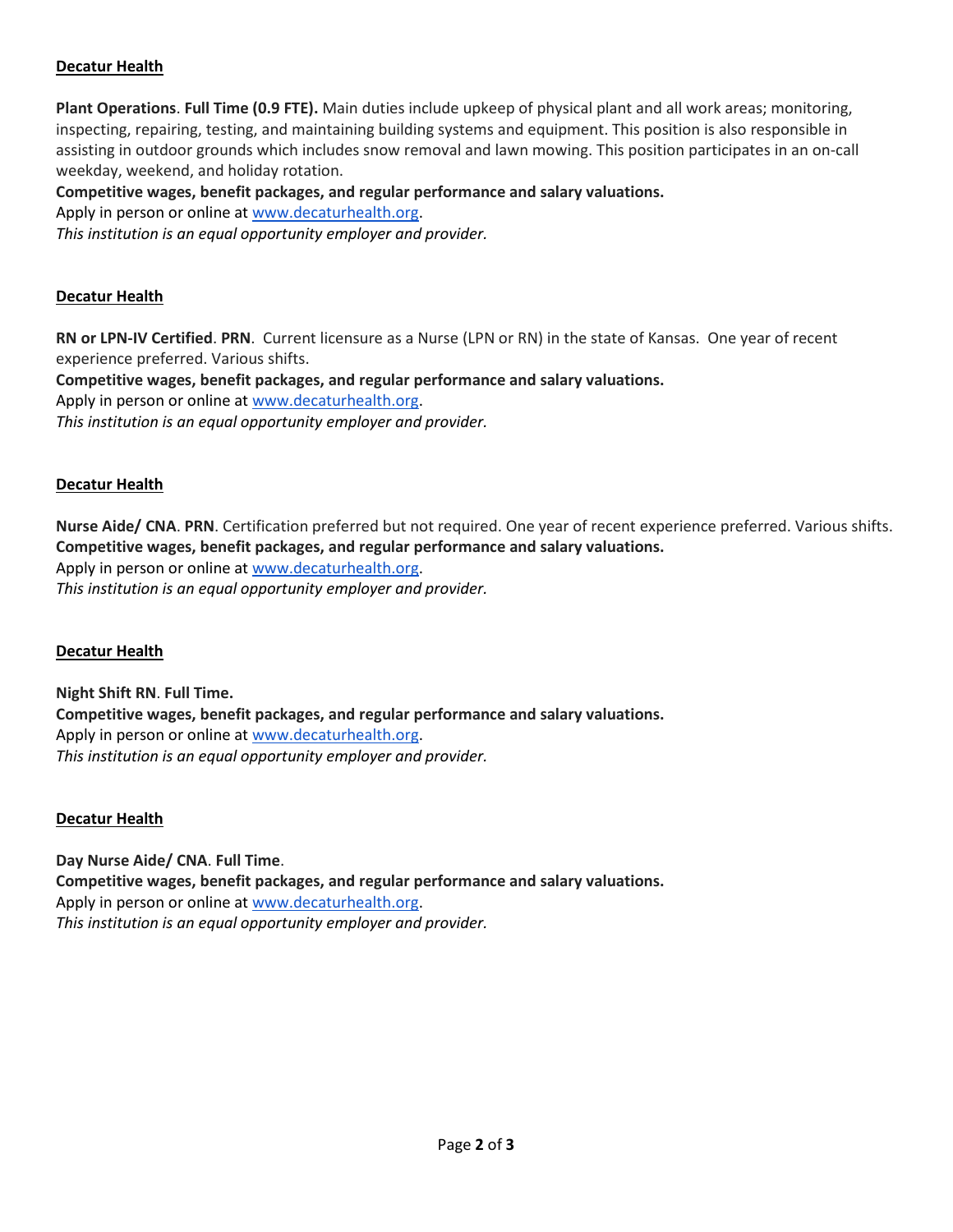# **Decatur Health**

**Plant Operations**. **Full Time (0.9 FTE).** Main duties include upkeep of physical plant and all work areas; monitoring, inspecting, repairing, testing, and maintaining building systems and equipment. This position is also responsible in assisting in outdoor grounds which includes snow removal and lawn mowing. This position participates in an on-call weekday, weekend, and holiday rotation.

## **Competitive wages, benefit packages, and regular performance and salary valuations.**

Apply in person or online at [www.decaturhealth.org.](http://www.decaturhealth.org/)

*This institution is an equal opportunity employer and provider.*

#### **Decatur Health**

**RN or LPN-IV Certified**. **PRN**. Current licensure as a Nurse (LPN or RN) in the state of Kansas. One year of recent experience preferred. Various shifts.

**Competitive wages, benefit packages, and regular performance and salary valuations.**  Apply in person or online at [www.decaturhealth.org.](http://www.decaturhealth.org/) *This institution is an equal opportunity employer and provider.*

#### **Decatur Health**

**Nurse Aide/ CNA**. **PRN**. Certification preferred but not required. One year of recent experience preferred. Various shifts. **Competitive wages, benefit packages, and regular performance and salary valuations.**  Apply in person or online at [www.decaturhealth.org.](http://www.decaturhealth.org/)

*This institution is an equal opportunity employer and provider.*

#### **Decatur Health**

**Night Shift RN**. **Full Time. Competitive wages, benefit packages, and regular performance and salary valuations.**  Apply in person or online at [www.decaturhealth.org.](http://www.decaturhealth.org/) *This institution is an equal opportunity employer and provider.*

#### **Decatur Health**

**Day Nurse Aide/ CNA**. **Full Time**. **Competitive wages, benefit packages, and regular performance and salary valuations.**  Apply in person or online at [www.decaturhealth.org.](http://www.decaturhealth.org/) *This institution is an equal opportunity employer and provider.*